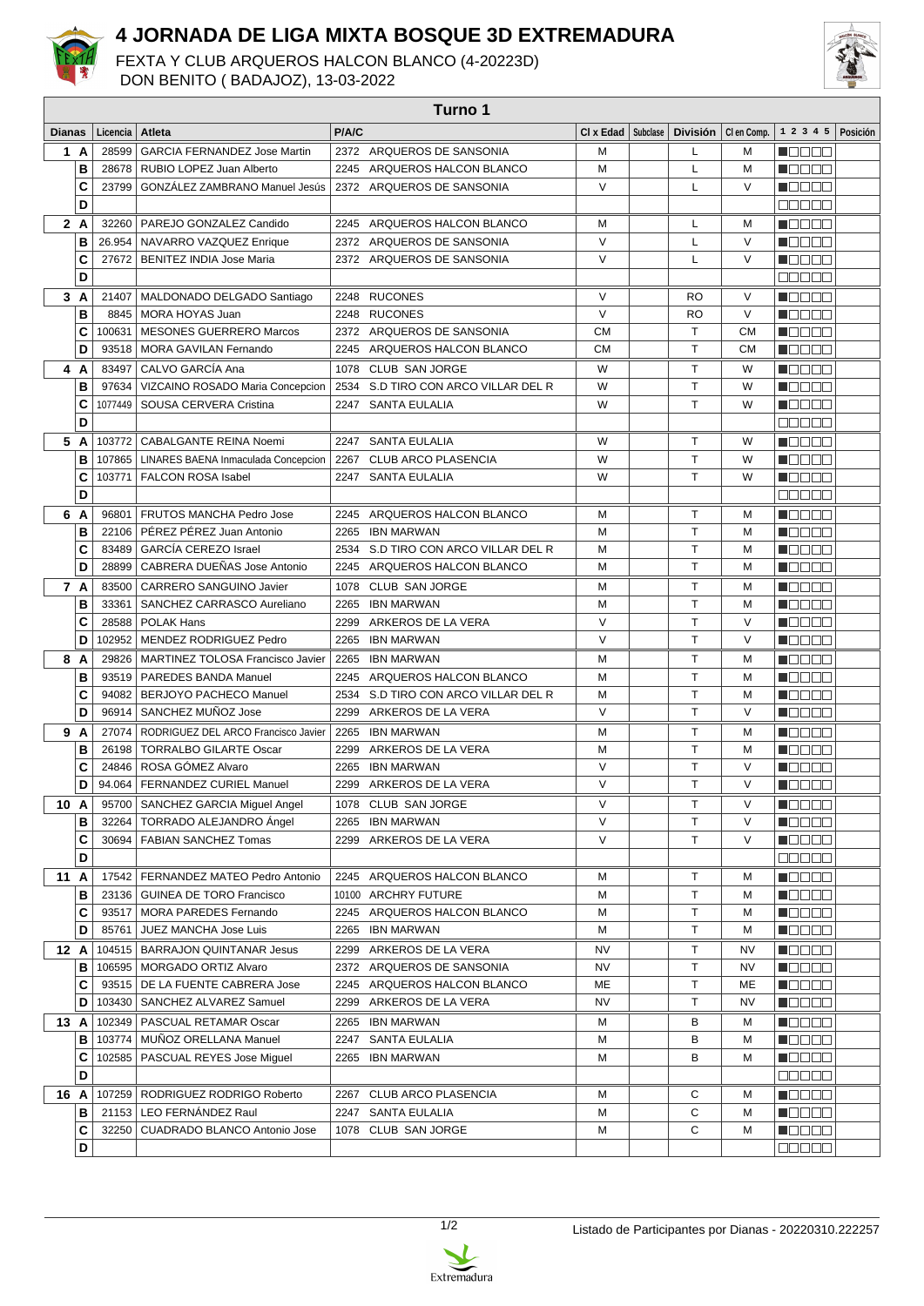

## **4 JORNADA DE LIGA MIXTA BOSQUE 3D EXTREMADURA**

FEXTA Y CLUB ARQUEROS HALCON BLANCO (4-20223D)



DON BENITO ( BADAJOZ), 13-03-2022

| Turno 1       |      |          |                                              |       |                                     |                      |  |           |                       |                                              |  |
|---------------|------|----------|----------------------------------------------|-------|-------------------------------------|----------------------|--|-----------|-----------------------|----------------------------------------------|--|
| <b>Dianas</b> |      | Licencia | Atleta                                       | P/A/C |                                     | CI x Edad   Subclase |  |           | División   Clen Comp. | $1 \t2 \t3 \t4 \t5$ Posición                 |  |
|               | 1 A  | 28599    | GARCIA FERNANDEZ Jose Martin                 |       | 2372 ARQUEROS DE SANSONIA           | M                    |  | L         | М                     | n din bin                                    |  |
|               | в    | 28678    | RUBIO LOPEZ Juan Alberto                     |       | 2245 ARQUEROS HALCON BLANCO         | М                    |  | L         | M                     | n din sa                                     |  |
|               | C    | 23799    | GONZÁLEZ ZAMBRANO Manuel Jesús               |       | 2372 ARQUEROS DE SANSONIA           | $\vee$               |  | L         | V                     | M O O O O                                    |  |
|               | D    |          |                                              |       |                                     |                      |  |           |                       | 88888                                        |  |
|               | 2A   | 32260    | PAREJO GONZALEZ Candido                      |       | 2245 ARQUEROS HALCON BLANCO         | м                    |  | L         | M                     | n Oo Oo                                      |  |
|               | B    | 26.954   | NAVARRO VAZQUEZ Enrique                      |       | 2372 ARQUEROS DE SANSONIA           | $\vee$               |  | Г         | V                     | n do e d                                     |  |
|               | c    | 27672    | <b>BENITEZ INDIA Jose Maria</b>              |       | 2372 ARQUEROS DE SANSONIA           | $\vee$               |  | L         | V                     | N DE E E                                     |  |
|               | D    |          |                                              |       |                                     |                      |  |           |                       | e e e e e                                    |  |
|               | 3A   | 21407    | MALDONADO DELGADO Santiago                   |       | 2248 RUCONES                        | V                    |  | <b>RO</b> | V                     | Maaaa                                        |  |
|               | B    | 8845     | MORA HOYAS Juan                              |       | 2248 RUCONES                        | $\vee$               |  | <b>RO</b> | $\vee$                | TOOOO                                        |  |
|               | C    | 100631   | <b>MESONES GUERRERO Marcos</b>               |       | 2372 ARQUEROS DE SANSONIA           | <b>CM</b>            |  | T         | <b>CM</b>             | n da a a                                     |  |
|               | D    | 93518    | <b>MORA GAVILAN Fernando</b>                 |       | 2245 ARQUEROS HALCON BLANCO         | СM                   |  | T         | <b>CM</b>             | 11000                                        |  |
|               | 4 A  | 83497    | CALVO GARCÍA Ana                             |       | 1078 CLUB SAN JORGE                 | W                    |  | т         | W                     | n de se                                      |  |
|               | в    | 97634    | VIZCAINO ROSADO Maria Concepcion             |       | 2534 S.D TIRO CON ARCO VILLAR DEL R | W                    |  | T         | W                     | a jarje e                                    |  |
|               | c    | 1077449  | SOUSA CERVERA Cristina                       |       | 2247 SANTA EULALIA                  | W                    |  | T         | W                     | n E E E E                                    |  |
|               | D    |          |                                              |       |                                     |                      |  |           |                       | 88888                                        |  |
|               | 5 A  |          | 103772   CABALGANTE REINA Noemi              | 2247  | <b>SANTA EULALIA</b>                | W                    |  | т         | W                     | <b>N</b> OOCH                                |  |
|               | в    |          | 107865   LINARES BAENA Inmaculada Concepcion | 2267  | <b>CLUB ARCO PLASENCIA</b>          | W                    |  | T.        | W                     | n de e e                                     |  |
|               | c    | 103771   | <b>FALCON ROSA Isabel</b>                    | 2247  | <b>SANTA EULALIA</b>                | W                    |  | T.        | W                     | n de sa                                      |  |
|               | D    |          |                                              |       |                                     |                      |  |           |                       | 88888                                        |  |
|               | 6 A  | 96801    | FRUTOS MANCHA Pedro Jose                     |       | 2245 ARQUEROS HALCON BLANCO         | M                    |  | T         | M                     | n da aa                                      |  |
|               | В    | 22106    | PÉREZ PÉREZ Juan Antonio                     | 2265  | <b>IBN MARWAN</b>                   | М                    |  | T         | м                     | n an Dei                                     |  |
|               | C    | 83489    | GARCÍA CEREZO Israel                         | 2534  | S.D TIRO CON ARCO VILLAR DEL R      | M                    |  | т         | M                     | N O O O O                                    |  |
|               | D    | 28899    | CABRERA DUEÑAS Jose Antonio                  | 2245  | ARQUEROS HALCON BLANCO              | M                    |  | T         | М                     | n da a a                                     |  |
|               | 7 A  | 83500    | CARRERO SANGUINO Javier                      |       | 1078 CLUB SAN JORGE                 | М                    |  | т         | м                     | n da a a                                     |  |
|               | B    | 33361    | SANCHEZ CARRASCO Aureliano                   | 2265  | <b>IBN MARWAN</b>                   | M                    |  | T         | М                     | n 800 a                                      |  |
|               | C    | 28588    | <b>POLAK Hans</b>                            | 2299  | ARKEROS DE LA VERA                  | $\vee$               |  | T         | V                     | N DE SE                                      |  |
|               | D    | 102952   | MENDEZ RODRIGUEZ Pedro                       |       | 2265 IBN MARWAN                     | $\vee$               |  | T.        | V                     | Maaala                                       |  |
|               | 8 A  | 29826    | MARTINEZ TOLOSA Francisco Javier             | 2265  | IBN MARWAN                          | M                    |  | T.        | M                     | n de se                                      |  |
|               | в    | 93519    | PAREDES BANDA Manuel                         |       | 2245 ARQUEROS HALCON BLANCO         | M                    |  | T         | M                     | N E E E E                                    |  |
|               | С    | 94082    | BERJOYO PACHECO Manuel                       |       | 2534 S.D TIRO CON ARCO VILLAR DEL R | M                    |  | т         | M                     | n ng mg                                      |  |
|               | D    | 96914    | SANCHEZ MUÑOZ Jose                           |       | 2299 ARKEROS DE LA VERA             | V                    |  | T         | V                     | ______                                       |  |
| 9             | A    | 27074    | RODRIGUEZ DEL ARCO Francisco Javier          |       | 2265 IBN MARWAN                     | м                    |  | т         | м                     | n de se                                      |  |
|               | в    | 26198    | <b>TORRALBO GILARTE Oscar</b>                |       | 2299 ARKEROS DE LA VERA             | M                    |  | T         | M                     | Maaaa                                        |  |
|               | C    | 24846    | ROSA GÓMEZ Alvaro                            |       | 2265 IBN MARWAN                     | V                    |  | T         | V                     | HOOOO                                        |  |
|               | D    |          | 94.064   FERNANDEZ CURIEL Manuel             |       | 2299 ARKEROS DE LA VERA             | $\vee$               |  | T.        | V                     | Maaaa                                        |  |
|               | 10 A |          | 95700   SANCHEZ GARCIA Miguel Angel          |       | 1078 CLUB SAN JORGE                 | V                    |  | Τ         | V                     | <u> Nasara</u>                               |  |
|               | в    | 32264    | TORRADO ALEJANDRO Ángel                      |       | 2265 IBN MARWAN                     | $\vee$               |  | T.        | V                     | <b>NOBOD</b>                                 |  |
|               | C    |          | 30694   FABIAN SANCHEZ Tomas                 |       | 2299 ARKEROS DE LA VERA             | $\vee$               |  | T         | V                     | Maaaa                                        |  |
|               | D    |          |                                              |       |                                     |                      |  |           |                       | no o o o                                     |  |
| 11 A          |      |          | 17542   FERNANDEZ MATEO Pedro Antonio        |       | 2245 ARQUEROS HALCON BLANCO         | М                    |  | Τ         | М                     | MOO OO                                       |  |
|               | В    |          | 23136   GUINEA DE TORO Francisco             |       | 10100 ARCHRY FUTURE                 | М                    |  | Т         | M                     | N DE E E                                     |  |
|               | C    |          | 93517   MORA PAREDES Fernando                |       | 2245 ARQUEROS HALCON BLANCO         | М                    |  | Т         | М                     | $\blacksquare$ $\square$ $\square$ $\square$ |  |
|               | D    | 85761    | JUEZ MANCHA Jose Luis                        |       | 2265 IBN MARWAN                     | м                    |  | Т         | М                     | Maaaa                                        |  |
|               | 12 A |          | 104515   BARRAJON QUINTANAR Jesus            |       | 2299 ARKEROS DE LA VERA             | NV                   |  | Т         | NV                    | M B B B B B                                  |  |
|               | в    |          | 106595   MORGADO ORTIZ Alvaro                |       | 2372 ARQUEROS DE SANSONIA           | NV                   |  | т         | NV                    | M B B B B                                    |  |
|               | C    |          | 93515   DE LA FUENTE CABRERA Jose            |       | 2245 ARQUEROS HALCON BLANCO         | ME                   |  | Τ         | ME                    | N DO DO U                                    |  |
|               | D    |          | 103430   SANCHEZ ALVAREZ Samuel              |       | 2299 ARKEROS DE LA VERA             | NV                   |  | Τ         | NV                    | <u>Lista eta</u>                             |  |
|               | 13 A |          | 102349   PASCUAL RETAMAR Oscar               |       | 2265 IBN MARWAN                     | М                    |  | в         | М                     | Maaaa                                        |  |
|               | В    |          | 103774   MUÑOZ ORELLANA Manuel               |       | 2247 SANTA EULALIA                  | М                    |  | в         | М                     | Macaa                                        |  |
|               | c    | 102585   | PASCUAL REYES Jose Miguel                    |       | 2265 IBN MARWAN                     | М                    |  | в         | М                     | N D D D D                                    |  |
|               | D    |          |                                              |       |                                     |                      |  |           |                       | 88888                                        |  |
|               | 16 A |          | 107259   RODRIGUEZ RODRIGO Roberto           |       | 2267 CLUB ARCO PLASENCIA            | м                    |  | С         | M                     | N DE E E                                     |  |
|               | В    |          | 21153   LEO FERNÁNDEZ Raul                   |       | 2247 SANTA EULALIA                  | М                    |  | С         | М                     | Maaaa                                        |  |
|               | c    | 32250    | CUADRADO BLANCO Antonio Jose                 |       | 1078 CLUB SAN JORGE                 | м                    |  | С         | М                     | N E E E E                                    |  |
|               | D    |          |                                              |       |                                     |                      |  |           |                       | 88888                                        |  |